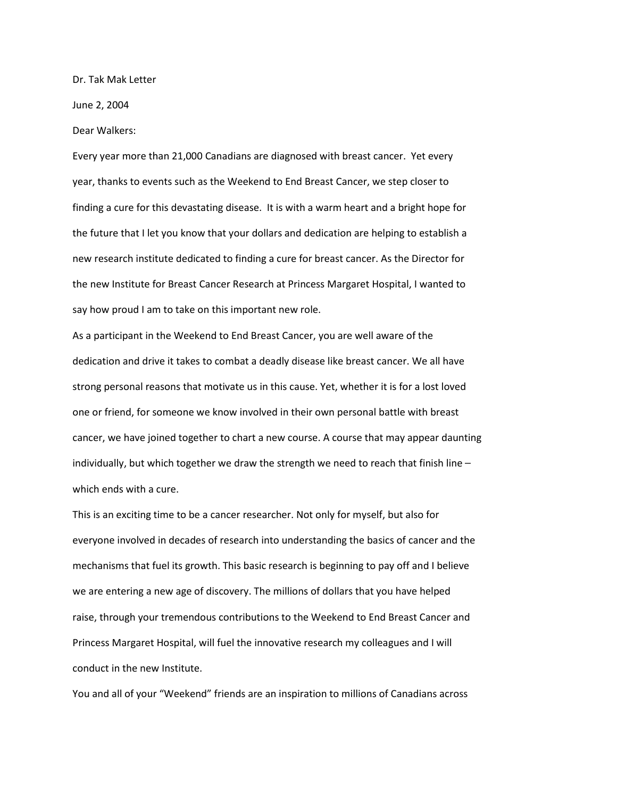Dr. Tak Mak Letter

June 2, 2004

Dear Walkers:

Every year more than 21,000 Canadians are diagnosed with breast cancer. Yet every year, thanks to events such as the Weekend to End Breast Cancer, we step closer to finding a cure for this devastating disease. It is with a warm heart and a bright hope for the future that I let you know that your dollars and dedication are helping to establish a new research institute dedicated to finding a cure for breast cancer. As the Director for the new Institute for Breast Cancer Research at Princess Margaret Hospital, I wanted to say how proud I am to take on this important new role.

As a participant in the Weekend to End Breast Cancer, you are well aware of the dedication and drive it takes to combat a deadly disease like breast cancer. We all have strong personal reasons that motivate us in this cause. Yet, whether it is for a lost loved one or friend, for someone we know involved in their own personal battle with breast cancer, we have joined together to chart a new course. A course that may appear daunting individually, but which together we draw the strength we need to reach that finish line  $$ which ends with a cure.

This is an exciting time to be a cancer researcher. Not only for myself, but also for everyone involved in decades of research into understanding the basics of cancer and the mechanisms that fuel its growth. This basic research is beginning to pay off and I believe we are entering a new age of discovery. The millions of dollars that you have helped raise, through your tremendous contributions to the Weekend to End Breast Cancer and Princess Margaret Hospital, will fuel the innovative research my colleagues and I will conduct in the new Institute.

You and all of your "Weekend" friends are an inspiration to millions of Canadians across